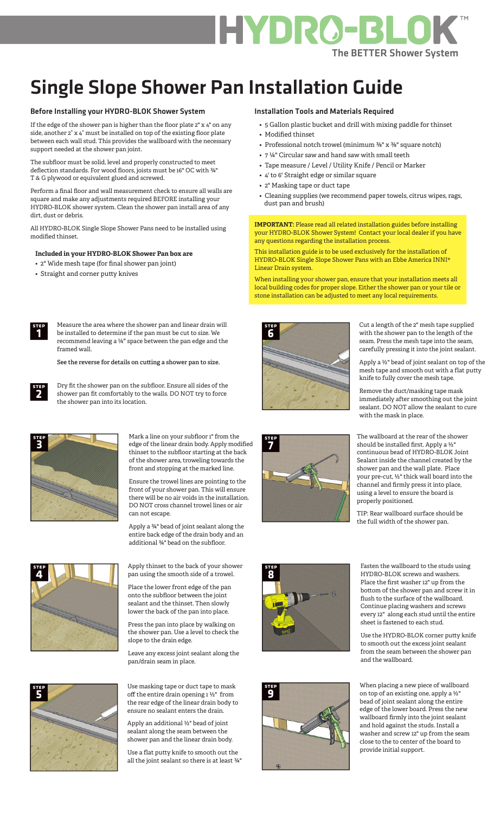

# Single Slope Shower Pan Installation Guide

#### Before Installing your HYDRO-BLOK Shower System

If the edge of the shower pan is higher than the floor plate 2" x 4" on any side, another 2" x 4" must be installed on top of the existing floor plate between each wall stud. This provides the wallboard with the necessary support needed at the shower pan joint.

The subfloor must be solid, level and properly constructed to meet deflection standards. For wood floors, joists must be 16" OC with ¾" T & G plywood or equivalent glued and screwed.

Perform a final floor and wall measurement check to ensure all walls are square and make any adjustments required BEFORE installing your HYDRO-BLOK shower system. Clean the shower pan install area of any dirt, dust or debris.

All HYDRO-BLOK Single Slope Shower Pans need to be installed using modified thinset.

## **Included in your HYDRO-BLOK Shower Pan box are**

- 2" Wide mesh tape (for final shower pan joint)
- Straight and corner putty knives

**step 1**

**step 2**

Measure the area where the shower pan and linear drain will be installed to determine if the pan must be cut to size. We recommend leaving a ⅛" space between the pan edge and the framed wall.

**See the reverse for details on cu!ing a shower pan to size.**

Dry fit the shower pan on the subfloor. Ensure all sides of the shower pan fit comfortably to the walls. DO NOT try to force the shower pan into its location.



Mark a line on your subfloor 1" from the edge of the linear drain body. Apply modified thinset to the subfloor starting at the back of the shower area, troweling towards the front and stopping at the marked line.

Ensure the trowel lines are pointing to the front of your shower pan. This will ensure there will be no air voids in the installation. DO NOT cross channel trowel lines or air can not escape.

Apply a ¾" bead of joint sealant along the entire back edge of the drain body and an additional ¾" bead on the subfloor.



Apply thinset to the back of your shower pan using the smooth side of a trowel.

Place the lower front edge of the pan onto the subfloor between the joint sealant and the thinset. Then slowly lower the back of the pan into place.

Press the pan into place by walking on the shower pan. Use a level to check the slope to the drain edge.

Leave any excess joint sealant along the pan/drain seam in place.



Use masking tape or duct tape to mask off the entire drain opening  $1 \frac{1}{2}$ " from the rear edge of the linear drain body to ensure no sealant enters the drain.

Apply an additional ½" bead of joint sealant along the seam between the shower pan and the linear drain body.

Use a flat putty knife to smooth out the all the joint sealant so there is at least ¾"

#### Installation Tools and Materials Required

- 5 Gallon plastic bucket and drill with mixing paddle for thinset
- Modified thinset
- Professional notch trowel (minimum  $\frac{3}{8}$ " x  $\frac{3}{8}$ " square notch)
- 7 ¼" Circular saw and hand saw with small teeth
- Tape measure / Level / Utility Knife / Pencil or Marker
- 4' to 6' Straight edge or similar square
- 2" Masking tape or duct tape
- Cleaning supplies (we recommend paper towels, citrus wipes, rags, dust pan and brush)

**IMPORTANT:** Please read all related installation guides before installing your HYDRO-BLOK Shower System! Contact your local dealer if you have any questions regarding the installation process.

This installation guide is to be used exclusively for the installation of HYDRO-BLOK Single Slope Shower Pans with an Ebbe America INNI® Linear Drain system.

When installing your shower pan, ensure that your installation meets all local building codes for proper slope. Either the shower pan or your tile or stone installation can be adjusted to meet any local requirements.



Cut a length of the 2" mesh tape supplied with the shower pan to the length of the seam. Press the mesh tape into the seam, carefully pressing it into the joint sealant.

Apply a ½" bead of joint sealant on top of the mesh tape and smooth out with a flat putty knife to fully cover the mesh tape.

Remove the duct/masking tape mask immediately after smoothing out the joint sealant. DO NOT allow the sealant to cure with the mask in place.

The wallboard at the rear of the shower should be installed first. Apply a ½" continuous bead of HYDRO-BLOK Joint Sealant inside the channel created by the shower pan and the wall plate. Place your pre-cut, ½" thick wall board into the channel and firmly press it into place, using a level to ensure the board is properly positioned.

TIP: Rear wallboard surface should be the full width of the shower pan.





Fasten the wallboard to the studs using HYDRO-BLOK screws and washers. Place the first washer 12" up from the bottom of the shower pan and screw it in flush to the surface of the wallboard. Continue placing washers and screws every 12" along each stud until the entire sheet is fastened to each stud.

Use the HYDRO-BLOK corner putty knife to smooth out the excess joint sealant from the seam between the shower pan and the wallboard.

When placing a new piece of wallboard on top of an existing one, apply a ½" bead of joint sealant along the entire edge of the lower board. Press the new wallboard firmly into the joint sealant and hold against the studs. Install a washer and screw 12" up from the seam close to the to center of the board to provide initial support.



**step**